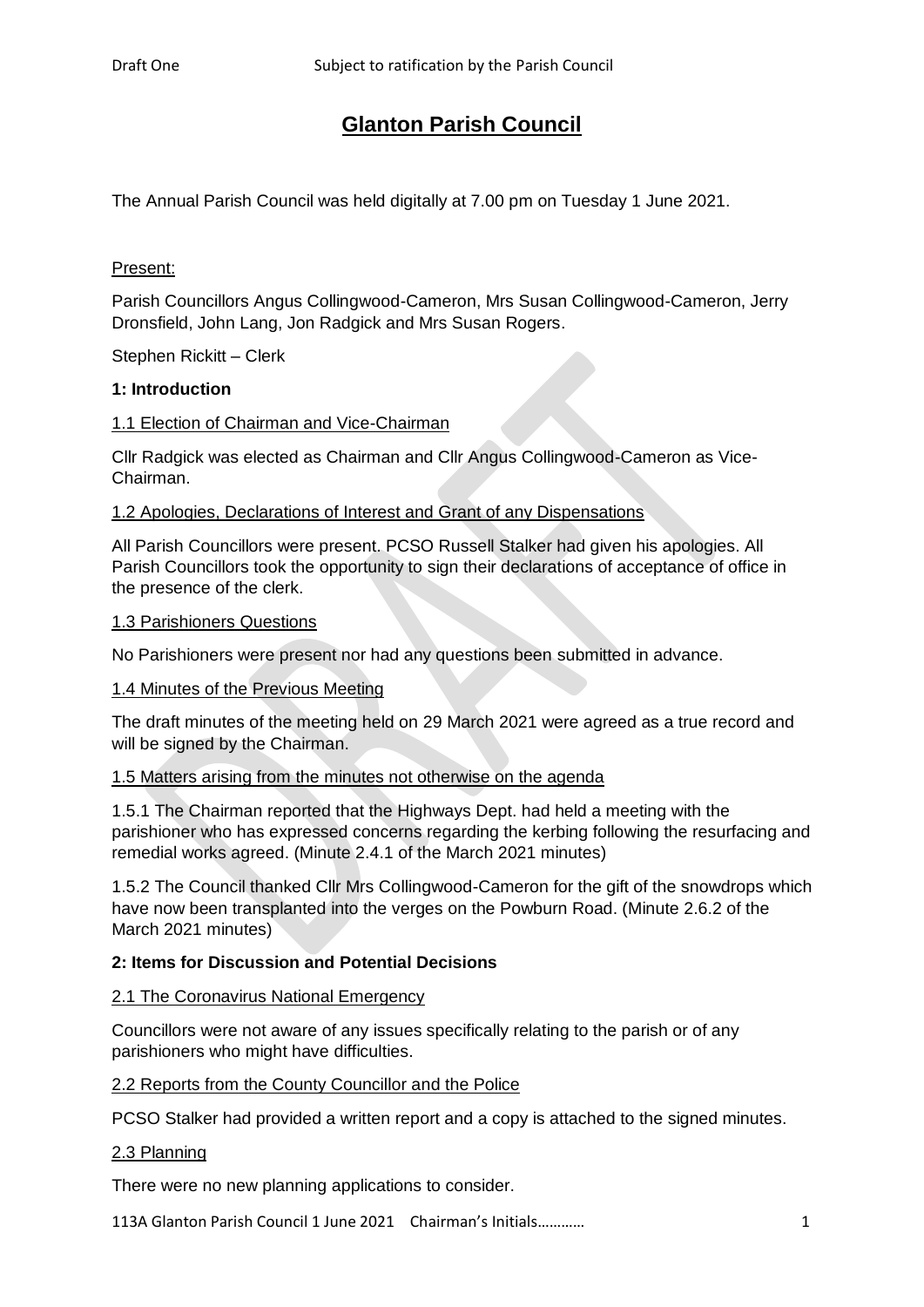# **Glanton Parish Council**

The Annual Parish Council was held digitally at 7.00 pm on Tuesday 1 June 2021.

# Present:

Parish Councillors Angus Collingwood-Cameron, Mrs Susan Collingwood-Cameron, Jerry Dronsfield, John Lang, Jon Radgick and Mrs Susan Rogers.

Stephen Rickitt – Clerk

## **1: Introduction**

## 1.1 Election of Chairman and Vice-Chairman

Cllr Radgick was elected as Chairman and Cllr Angus Collingwood-Cameron as Vice-Chairman.

## 1.2 Apologies, Declarations of Interest and Grant of any Dispensations

All Parish Councillors were present. PCSO Russell Stalker had given his apologies. All Parish Councillors took the opportunity to sign their declarations of acceptance of office in the presence of the clerk.

#### 1.3 Parishioners Questions

No Parishioners were present nor had any questions been submitted in advance.

#### 1.4 Minutes of the Previous Meeting

The draft minutes of the meeting held on 29 March 2021 were agreed as a true record and will be signed by the Chairman.

## 1.5 Matters arising from the minutes not otherwise on the agenda

1.5.1 The Chairman reported that the Highways Dept. had held a meeting with the parishioner who has expressed concerns regarding the kerbing following the resurfacing and remedial works agreed. (Minute 2.4.1 of the March 2021 minutes)

1.5.2 The Council thanked Cllr Mrs Collingwood-Cameron for the gift of the snowdrops which have now been transplanted into the verges on the Powburn Road. (Minute 2.6.2 of the March 2021 minutes)

# **2: Items for Discussion and Potential Decisions**

# 2.1 The Coronavirus National Emergency

Councillors were not aware of any issues specifically relating to the parish or of any parishioners who might have difficulties.

## 2.2 Reports from the County Councillor and the Police

PCSO Stalker had provided a written report and a copy is attached to the signed minutes.

#### 2.3 Planning

There were no new planning applications to consider.

113A Glanton Parish Council 1 June 2021 Chairman's Initials………… 1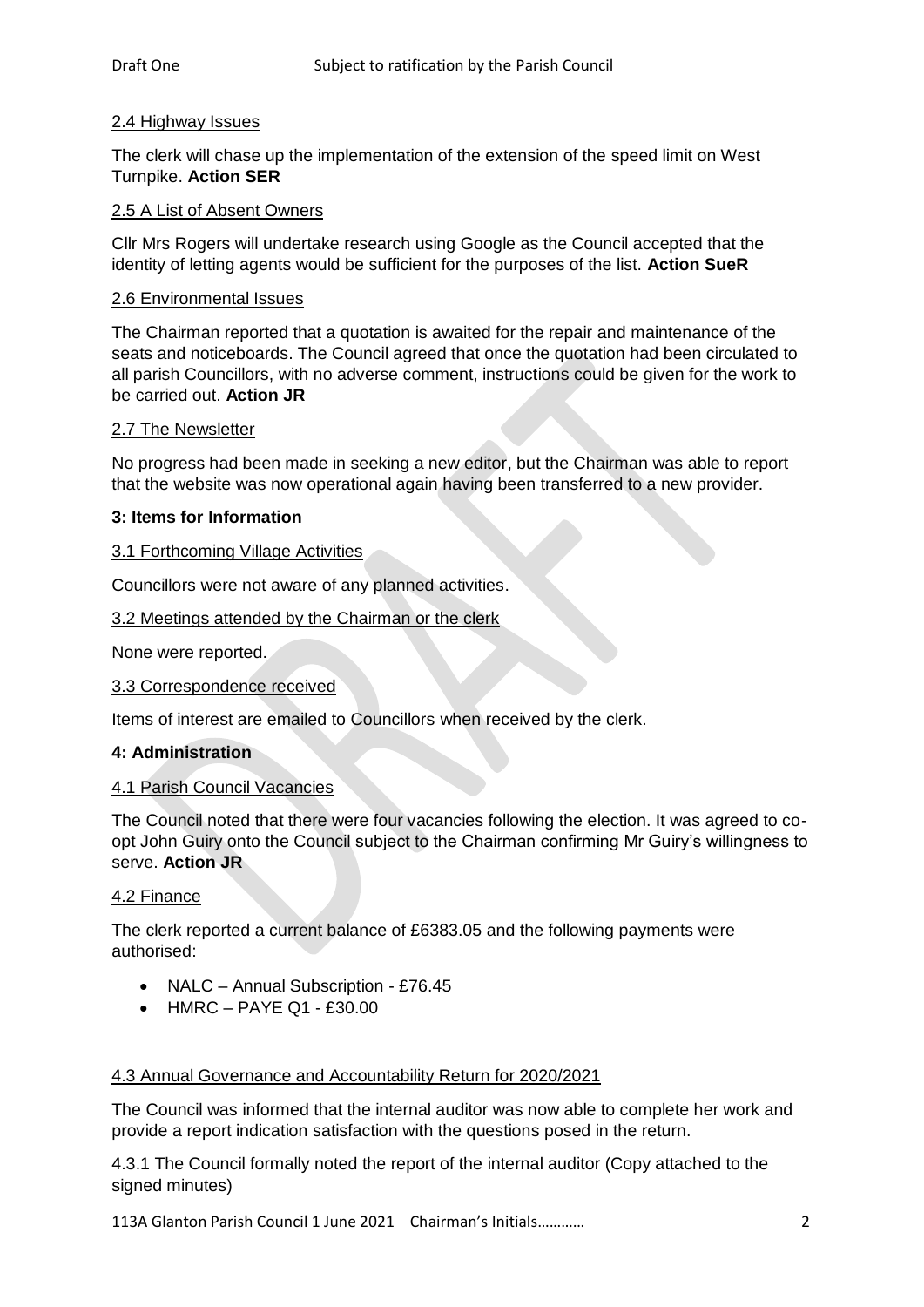## 2.4 Highway Issues

The clerk will chase up the implementation of the extension of the speed limit on West Turnpike. **Action SER**

## 2.5 A List of Absent Owners

Cllr Mrs Rogers will undertake research using Google as the Council accepted that the identity of letting agents would be sufficient for the purposes of the list. **Action SueR**

# 2.6 Environmental Issues

The Chairman reported that a quotation is awaited for the repair and maintenance of the seats and noticeboards. The Council agreed that once the quotation had been circulated to all parish Councillors, with no adverse comment, instructions could be given for the work to be carried out. **Action JR**

## 2.7 The Newsletter

No progress had been made in seeking a new editor, but the Chairman was able to report that the website was now operational again having been transferred to a new provider.

## **3: Items for Information**

#### 3.1 Forthcoming Village Activities

Councillors were not aware of any planned activities.

## 3.2 Meetings attended by the Chairman or the clerk

None were reported.

#### 3.3 Correspondence received

Items of interest are emailed to Councillors when received by the clerk.

#### **4: Administration**

#### 4.1 Parish Council Vacancies

The Council noted that there were four vacancies following the election. It was agreed to coopt John Guiry onto the Council subject to the Chairman confirming Mr Guiry's willingness to serve. **Action JR**

#### 4.2 Finance

The clerk reported a current balance of £6383.05 and the following payments were authorised:

- NALC Annual Subscription £76.45
- $\bullet$  HMRC PAYE Q1 £30.00

#### 4.3 Annual Governance and Accountability Return for 2020/2021

The Council was informed that the internal auditor was now able to complete her work and provide a report indication satisfaction with the questions posed in the return.

4.3.1 The Council formally noted the report of the internal auditor (Copy attached to the signed minutes)

113A Glanton Parish Council 1 June 2021 Chairman's Initials………… 2